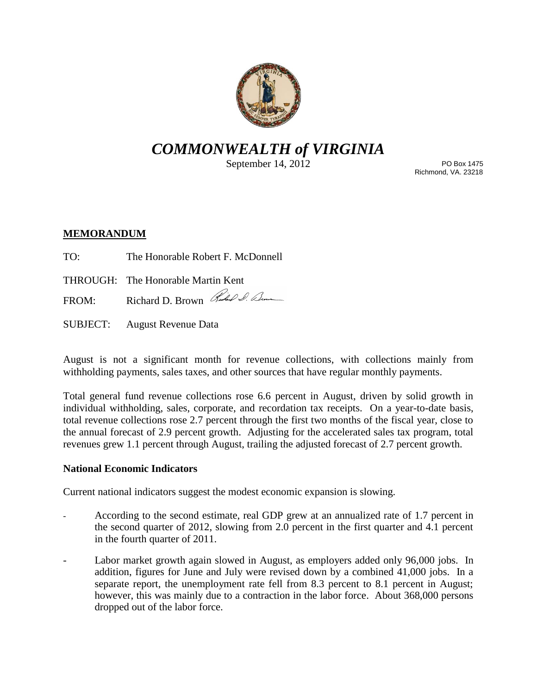

# *COMMONWEALTH of VIRGINIA*

September 14, 2012

PO Box 1475 Richmond, VA. 23218

# **MEMORANDUM**

- TO: The Honorable Robert F. McDonnell
- THROUGH: The Honorable Martin Kent
- FROM: Richard D. Brown Red & Com
- SUBJECT: August Revenue Data

August is not a significant month for revenue collections, with collections mainly from withholding payments, sales taxes, and other sources that have regular monthly payments.

Total general fund revenue collections rose 6.6 percent in August, driven by solid growth in individual withholding, sales, corporate, and recordation tax receipts. On a year-to-date basis, total revenue collections rose 2.7 percent through the first two months of the fiscal year, close to the annual forecast of 2.9 percent growth. Adjusting for the accelerated sales tax program, total revenues grew 1.1 percent through August, trailing the adjusted forecast of 2.7 percent growth.

## **National Economic Indicators**

Current national indicators suggest the modest economic expansion is slowing.

- According to the second estimate, real GDP grew at an annualized rate of 1.7 percent in the second quarter of 2012, slowing from 2.0 percent in the first quarter and 4.1 percent in the fourth quarter of 2011.
- Labor market growth again slowed in August, as employers added only 96,000 jobs. In addition, figures for June and July were revised down by a combined 41,000 jobs. In a separate report, the unemployment rate fell from 8.3 percent to 8.1 percent in August; however, this was mainly due to a contraction in the labor force. About 368,000 persons dropped out of the labor force.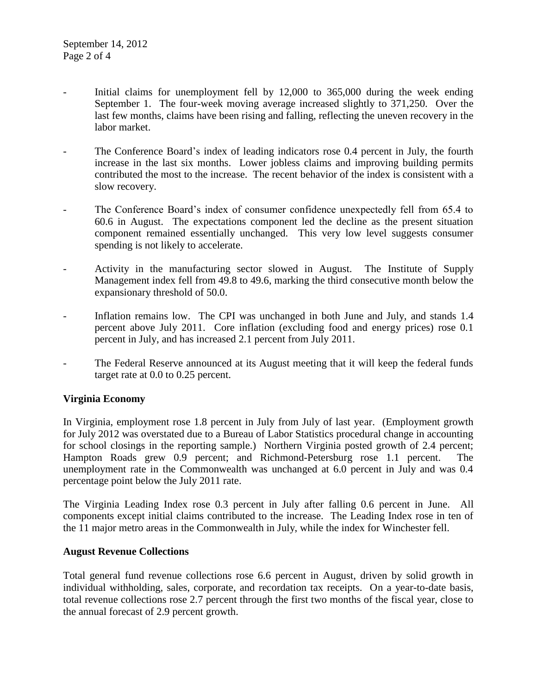- Initial claims for unemployment fell by  $12,000$  to  $365,000$  during the week ending September 1. The four-week moving average increased slightly to 371,250. Over the last few months, claims have been rising and falling, reflecting the uneven recovery in the labor market.
- The Conference Board's index of leading indicators rose 0.4 percent in July, the fourth increase in the last six months. Lower jobless claims and improving building permits contributed the most to the increase. The recent behavior of the index is consistent with a slow recovery.
- The Conference Board's index of consumer confidence unexpectedly fell from 65.4 to 60.6 in August. The expectations component led the decline as the present situation component remained essentially unchanged. This very low level suggests consumer spending is not likely to accelerate.
- Activity in the manufacturing sector slowed in August. The Institute of Supply Management index fell from 49.8 to 49.6, marking the third consecutive month below the expansionary threshold of 50.0.
- Inflation remains low. The CPI was unchanged in both June and July, and stands 1.4 percent above July 2011. Core inflation (excluding food and energy prices) rose 0.1 percent in July, and has increased 2.1 percent from July 2011.
- The Federal Reserve announced at its August meeting that it will keep the federal funds target rate at 0.0 to 0.25 percent.

## **Virginia Economy**

In Virginia, employment rose 1.8 percent in July from July of last year. (Employment growth for July 2012 was overstated due to a Bureau of Labor Statistics procedural change in accounting for school closings in the reporting sample.) Northern Virginia posted growth of 2.4 percent; Hampton Roads grew 0.9 percent; and Richmond-Petersburg rose 1.1 percent. The unemployment rate in the Commonwealth was unchanged at 6.0 percent in July and was 0.4 percentage point below the July 2011 rate.

The Virginia Leading Index rose 0.3 percent in July after falling 0.6 percent in June. All components except initial claims contributed to the increase. The Leading Index rose in ten of the 11 major metro areas in the Commonwealth in July, while the index for Winchester fell.

## **August Revenue Collections**

Total general fund revenue collections rose 6.6 percent in August, driven by solid growth in individual withholding, sales, corporate, and recordation tax receipts. On a year-to-date basis, total revenue collections rose 2.7 percent through the first two months of the fiscal year, close to the annual forecast of 2.9 percent growth.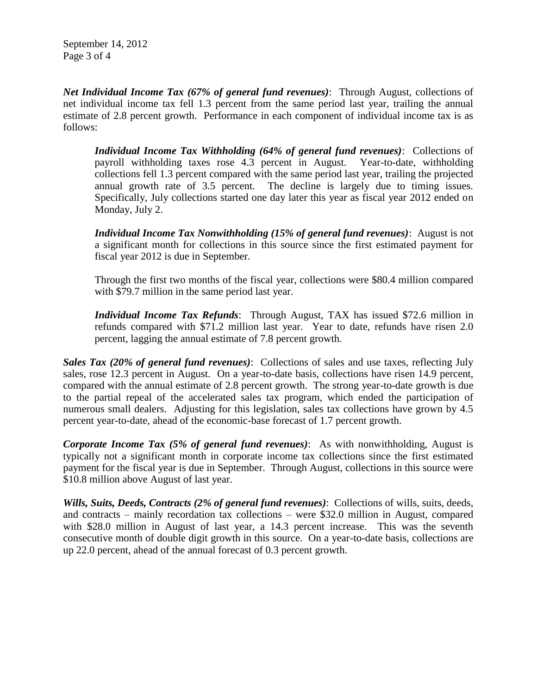September 14, 2012 Page 3 of 4

*Net Individual Income Tax (67% of general fund revenues)*: Through August, collections of net individual income tax fell 1.3 percent from the same period last year, trailing the annual estimate of 2.8 percent growth. Performance in each component of individual income tax is as follows:

*Individual Income Tax Withholding (64% of general fund revenues)*: Collections of payroll withholding taxes rose 4.3 percent in August. Year-to-date, withholding collections fell 1.3 percent compared with the same period last year, trailing the projected annual growth rate of 3.5 percent. The decline is largely due to timing issues. Specifically, July collections started one day later this year as fiscal year 2012 ended on Monday, July 2.

*Individual Income Tax Nonwithholding (15% of general fund revenues)*: August is not a significant month for collections in this source since the first estimated payment for fiscal year 2012 is due in September.

Through the first two months of the fiscal year, collections were \$80.4 million compared with \$79.7 million in the same period last year.

*Individual Income Tax Refunds*: Through August, TAX has issued \$72.6 million in refunds compared with \$71.2 million last year. Year to date, refunds have risen 2.0 percent, lagging the annual estimate of 7.8 percent growth.

*Sales Tax (20% of general fund revenues)*: Collections of sales and use taxes, reflecting July sales, rose 12.3 percent in August. On a year-to-date basis, collections have risen 14.9 percent, compared with the annual estimate of 2.8 percent growth. The strong year-to-date growth is due to the partial repeal of the accelerated sales tax program, which ended the participation of numerous small dealers. Adjusting for this legislation, sales tax collections have grown by 4.5 percent year-to-date, ahead of the economic-base forecast of 1.7 percent growth.

*Corporate Income Tax (5% of general fund revenues)*: As with nonwithholding, August is typically not a significant month in corporate income tax collections since the first estimated payment for the fiscal year is due in September. Through August, collections in this source were \$10.8 million above August of last year.

*Wills, Suits, Deeds, Contracts (2% of general fund revenues)*: Collections of wills, suits, deeds, and contracts – mainly recordation tax collections – were \$32.0 million in August, compared with \$28.0 million in August of last year, a 14.3 percent increase. This was the seventh consecutive month of double digit growth in this source. On a year-to-date basis, collections are up 22.0 percent, ahead of the annual forecast of 0.3 percent growth.